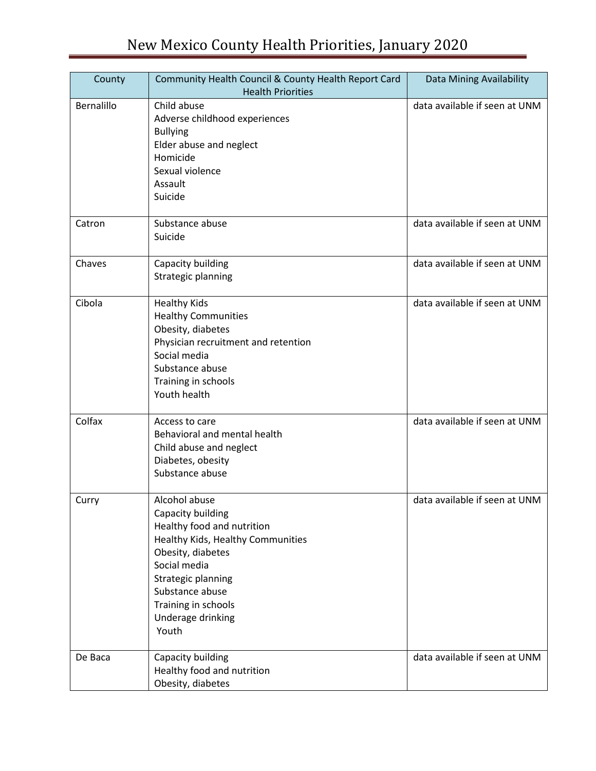| County     | Community Health Council & County Health Report Card<br><b>Health Priorities</b>                                                                                                                                                         | Data Mining Availability      |
|------------|------------------------------------------------------------------------------------------------------------------------------------------------------------------------------------------------------------------------------------------|-------------------------------|
| Bernalillo | Child abuse<br>Adverse childhood experiences<br><b>Bullying</b><br>Elder abuse and neglect<br>Homicide<br>Sexual violence<br>Assault<br>Suicide                                                                                          | data available if seen at UNM |
| Catron     | Substance abuse<br>Suicide                                                                                                                                                                                                               | data available if seen at UNM |
| Chaves     | Capacity building<br>Strategic planning                                                                                                                                                                                                  | data available if seen at UNM |
| Cibola     | <b>Healthy Kids</b><br><b>Healthy Communities</b><br>Obesity, diabetes<br>Physician recruitment and retention<br>Social media<br>Substance abuse<br>Training in schools<br>Youth health                                                  | data available if seen at UNM |
| Colfax     | Access to care<br>Behavioral and mental health<br>Child abuse and neglect<br>Diabetes, obesity<br>Substance abuse                                                                                                                        | data available if seen at UNM |
| Curry      | Alcohol abuse<br>Capacity building<br>Healthy food and nutrition<br>Healthy Kids, Healthy Communities<br>Obesity, diabetes<br>Social media<br>Strategic planning<br>Substance abuse<br>Training in schools<br>Underage drinking<br>Youth | data available if seen at UNM |
| De Baca    | Capacity building<br>Healthy food and nutrition<br>Obesity, diabetes                                                                                                                                                                     | data available if seen at UNM |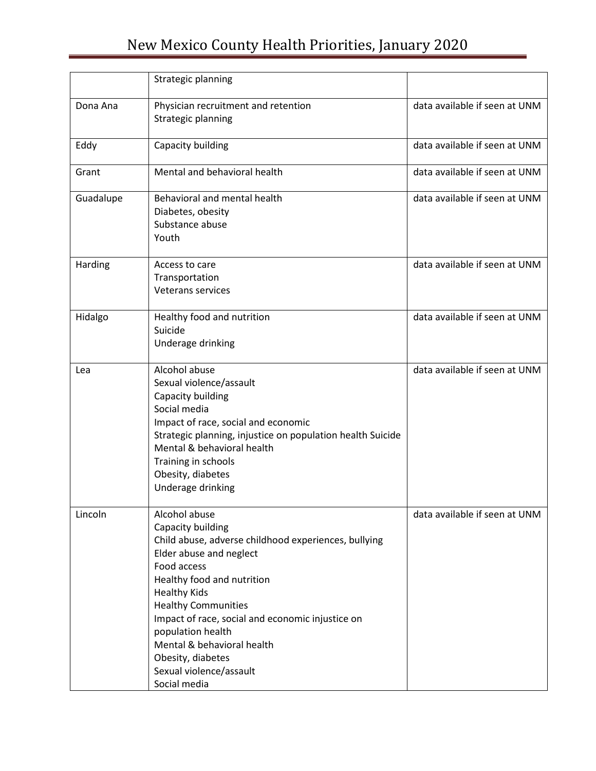## New Mexico County Health Priorities, January 2020

|           | Strategic planning                                                                                                                                                                                                                                                                                                                                                                             |                               |
|-----------|------------------------------------------------------------------------------------------------------------------------------------------------------------------------------------------------------------------------------------------------------------------------------------------------------------------------------------------------------------------------------------------------|-------------------------------|
| Dona Ana  | Physician recruitment and retention<br>Strategic planning                                                                                                                                                                                                                                                                                                                                      | data available if seen at UNM |
| Eddy      | Capacity building                                                                                                                                                                                                                                                                                                                                                                              | data available if seen at UNM |
| Grant     | Mental and behavioral health                                                                                                                                                                                                                                                                                                                                                                   | data available if seen at UNM |
| Guadalupe | Behavioral and mental health<br>Diabetes, obesity<br>Substance abuse<br>Youth                                                                                                                                                                                                                                                                                                                  | data available if seen at UNM |
| Harding   | Access to care<br>Transportation<br><b>Veterans services</b>                                                                                                                                                                                                                                                                                                                                   | data available if seen at UNM |
| Hidalgo   | Healthy food and nutrition<br>Suicide<br>Underage drinking                                                                                                                                                                                                                                                                                                                                     | data available if seen at UNM |
| Lea       | Alcohol abuse<br>Sexual violence/assault<br>Capacity building<br>Social media<br>Impact of race, social and economic<br>Strategic planning, injustice on population health Suicide<br>Mental & behavioral health<br>Training in schools<br>Obesity, diabetes<br>Underage drinking                                                                                                              | data available if seen at UNM |
| Lincoln   | Alcohol abuse<br>Capacity building<br>Child abuse, adverse childhood experiences, bullying<br>Elder abuse and neglect<br>Food access<br>Healthy food and nutrition<br><b>Healthy Kids</b><br><b>Healthy Communities</b><br>Impact of race, social and economic injustice on<br>population health<br>Mental & behavioral health<br>Obesity, diabetes<br>Sexual violence/assault<br>Social media | data available if seen at UNM |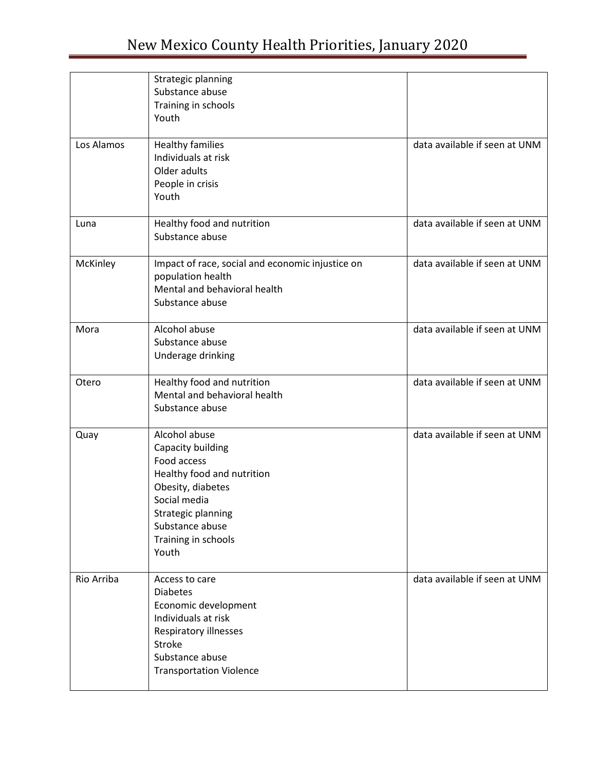| Los Alamos | Strategic planning<br>Substance abuse<br>Training in schools<br>Youth<br><b>Healthy families</b><br>Individuals at risk                                                                       | data available if seen at UNM |
|------------|-----------------------------------------------------------------------------------------------------------------------------------------------------------------------------------------------|-------------------------------|
|            | Older adults<br>People in crisis<br>Youth                                                                                                                                                     |                               |
| Luna       | Healthy food and nutrition<br>Substance abuse                                                                                                                                                 | data available if seen at UNM |
| McKinley   | Impact of race, social and economic injustice on<br>population health<br>Mental and behavioral health<br>Substance abuse                                                                      | data available if seen at UNM |
| Mora       | Alcohol abuse<br>Substance abuse<br>Underage drinking                                                                                                                                         | data available if seen at UNM |
| Otero      | Healthy food and nutrition<br>Mental and behavioral health<br>Substance abuse                                                                                                                 | data available if seen at UNM |
| Quay       | Alcohol abuse<br>Capacity building<br>Food access<br>Healthy food and nutrition<br>Obesity, diabetes<br>Social media<br>Strategic planning<br>Substance abuse<br>Training in schools<br>Youth | data available if seen at UNM |
| Rio Arriba | Access to care<br><b>Diabetes</b><br>Economic development<br>Individuals at risk<br>Respiratory illnesses<br>Stroke<br>Substance abuse<br><b>Transportation Violence</b>                      | data available if seen at UNM |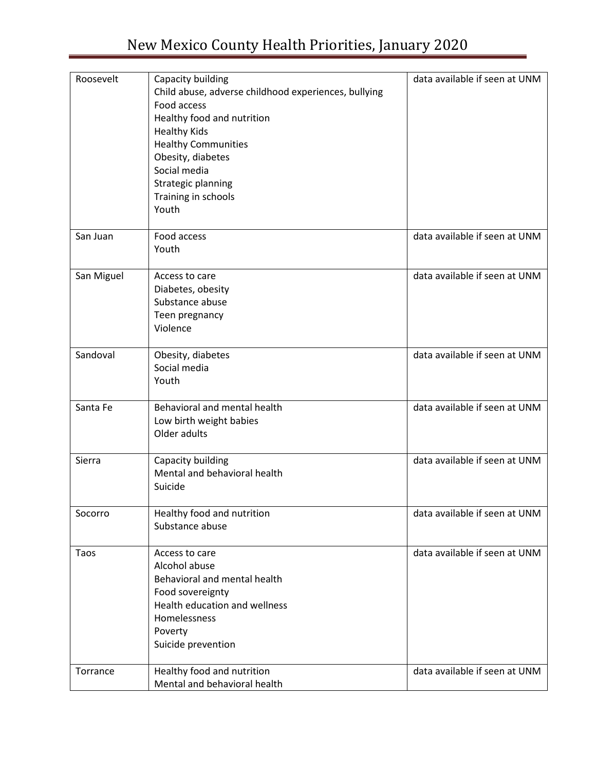| Roosevelt  | Capacity building                                    | data available if seen at UNM |
|------------|------------------------------------------------------|-------------------------------|
|            | Child abuse, adverse childhood experiences, bullying |                               |
|            | Food access                                          |                               |
|            | Healthy food and nutrition                           |                               |
|            | <b>Healthy Kids</b>                                  |                               |
|            |                                                      |                               |
|            | <b>Healthy Communities</b>                           |                               |
|            | Obesity, diabetes                                    |                               |
|            | Social media                                         |                               |
|            | Strategic planning                                   |                               |
|            | Training in schools                                  |                               |
|            | Youth                                                |                               |
| San Juan   | Food access                                          | data available if seen at UNM |
|            | Youth                                                |                               |
| San Miguel | Access to care                                       | data available if seen at UNM |
|            | Diabetes, obesity                                    |                               |
|            | Substance abuse                                      |                               |
|            | Teen pregnancy                                       |                               |
|            | Violence                                             |                               |
|            |                                                      |                               |
| Sandoval   | Obesity, diabetes                                    | data available if seen at UNM |
|            | Social media                                         |                               |
|            | Youth                                                |                               |
|            |                                                      |                               |
| Santa Fe   | Behavioral and mental health                         | data available if seen at UNM |
|            | Low birth weight babies                              |                               |
|            | Older adults                                         |                               |
|            |                                                      |                               |
| Sierra     | Capacity building                                    | data available if seen at UNM |
|            | Mental and behavioral health                         |                               |
|            | Suicide                                              |                               |
|            |                                                      |                               |
| Socorro    | Healthy food and nutrition                           | data available if seen at UNM |
|            | Substance abuse                                      |                               |
| Taos       | Access to care                                       | data available if seen at UNM |
|            | Alcohol abuse                                        |                               |
|            | Behavioral and mental health                         |                               |
|            | Food sovereignty                                     |                               |
|            | Health education and wellness                        |                               |
|            | Homelessness                                         |                               |
|            | Poverty                                              |                               |
|            | Suicide prevention                                   |                               |
|            |                                                      |                               |
| Torrance   | Healthy food and nutrition                           | data available if seen at UNM |
|            | Mental and behavioral health                         |                               |